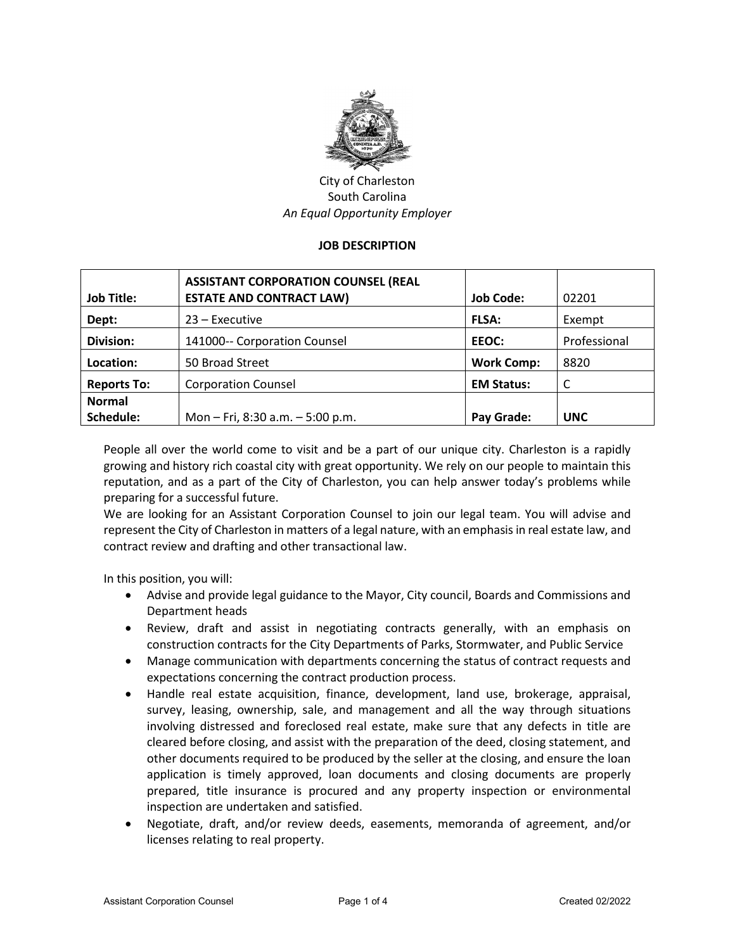

City of Charleston South Carolina *An Equal Opportunity Employer*

#### **JOB DESCRIPTION**

| <b>Job Title:</b>  | <b>ASSISTANT CORPORATION COUNSEL (REAL</b><br><b>ESTATE AND CONTRACT LAW)</b> | <b>Job Code:</b>  | 02201        |
|--------------------|-------------------------------------------------------------------------------|-------------------|--------------|
| Dept:              | $23$ – Executive                                                              | <b>FLSA:</b>      | Exempt       |
| <b>Division:</b>   | 141000-- Corporation Counsel                                                  | EEOC:             | Professional |
| Location:          | 50 Broad Street                                                               | <b>Work Comp:</b> | 8820         |
| <b>Reports To:</b> | <b>Corporation Counsel</b>                                                    | <b>EM Status:</b> | C            |
| <b>Normal</b>      |                                                                               |                   |              |
| Schedule:          | Mon - Fri, 8:30 a.m. - 5:00 p.m.                                              | Pay Grade:        | <b>UNC</b>   |

People all over the world come to visit and be a part of our unique city. Charleston is a rapidly growing and history rich coastal city with great opportunity. We rely on our people to maintain this reputation, and as a part of the City of Charleston, you can help answer today's problems while preparing for a successful future.

We are looking for an Assistant Corporation Counsel to join our legal team. You will advise and represent the City of Charleston in matters of a legal nature, with an emphasis in real estate law, and contract review and drafting and other transactional law.

In this position, you will:

- Advise and provide legal guidance to the Mayor, City council, Boards and Commissions and Department heads
- Review, draft and assist in negotiating contracts generally, with an emphasis on construction contracts for the City Departments of Parks, Stormwater, and Public Service
- Manage communication with departments concerning the status of contract requests and expectations concerning the contract production process.
- Handle real estate acquisition, finance, development, land use, brokerage, appraisal, survey, leasing, ownership, sale, and management and all the way through situations involving distressed and foreclosed real estate, make sure that any defects in title are cleared before closing, and assist with the preparation of the deed, closing statement, and other documents required to be produced by the seller at the closing, and ensure the loan application is timely approved, loan documents and closing documents are properly prepared, title insurance is procured and any property inspection or environmental inspection are undertaken and satisfied.
- Negotiate, draft, and/or review deeds, easements, memoranda of agreement, and/or licenses relating to real property.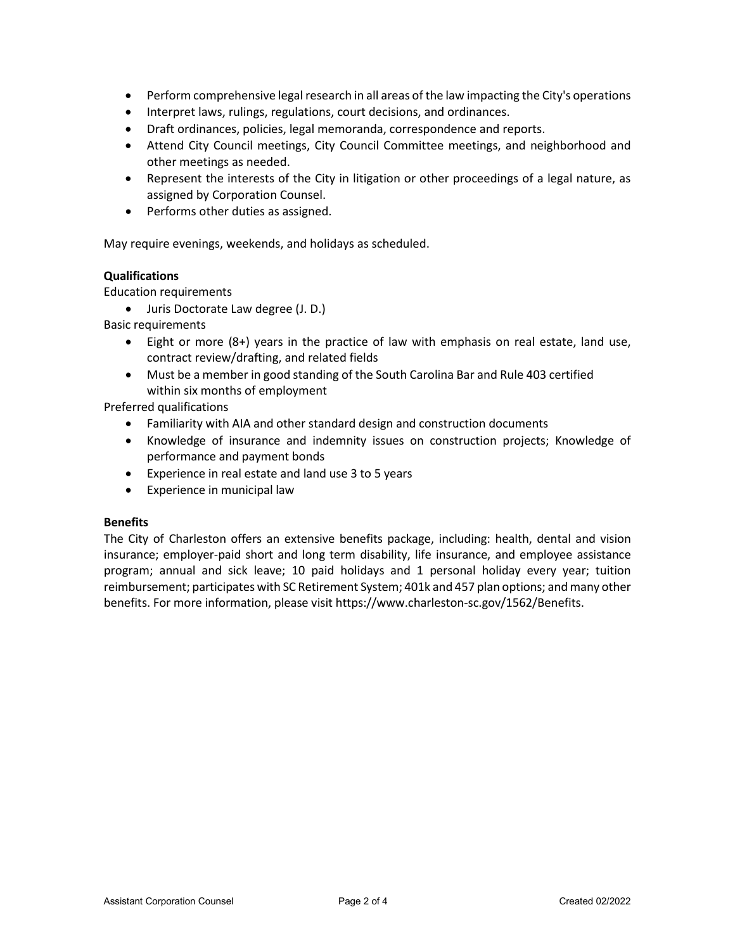- Perform comprehensive legal research in all areas of the law impacting the City's operations
- Interpret laws, rulings, regulations, court decisions, and ordinances.
- Draft ordinances, policies, legal memoranda, correspondence and reports.
- Attend City Council meetings, City Council Committee meetings, and neighborhood and other meetings as needed.
- Represent the interests of the City in litigation or other proceedings of a legal nature, as assigned by Corporation Counsel.
- Performs other duties as assigned.

May require evenings, weekends, and holidays as scheduled.

## **Qualifications**

Education requirements

• Juris Doctorate Law degree (J. D.)

Basic requirements

- Eight or more (8+) years in the practice of law with emphasis on real estate, land use, contract review/drafting, and related fields
- Must be a member in good standing of the South Carolina Bar and Rule 403 certified within six months of employment

Preferred qualifications

- Familiarity with AIA and other standard design and construction documents
- Knowledge of insurance and indemnity issues on construction projects; Knowledge of performance and payment bonds
- Experience in real estate and land use 3 to 5 years
- Experience in municipal law

#### **Benefits**

The City of Charleston offers an extensive benefits package, including: health, dental and vision insurance; employer-paid short and long term disability, life insurance, and employee assistance program; annual and sick leave; 10 paid holidays and 1 personal holiday every year; tuition reimbursement; participates with SC Retirement System; 401k and 457 plan options; and many other benefits. For more information, please visit https://www.charleston-sc.gov/1562/Benefits.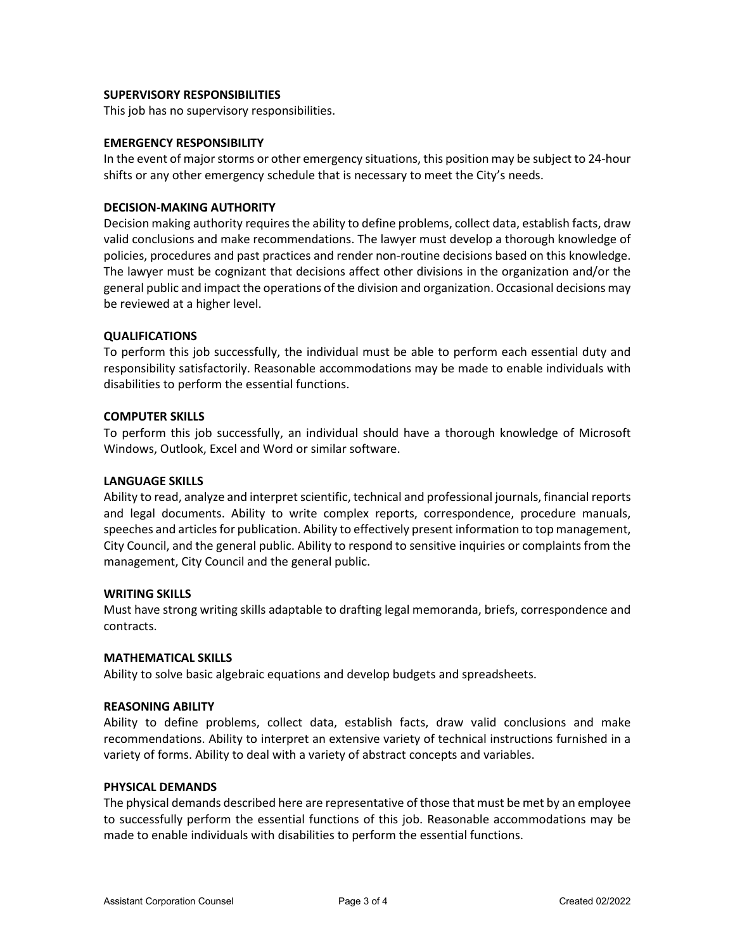### **SUPERVISORY RESPONSIBILITIES**

This job has no supervisory responsibilities.

### **EMERGENCY RESPONSIBILITY**

In the event of major storms or other emergency situations, this position may be subject to 24-hour shifts or any other emergency schedule that is necessary to meet the City's needs.

## **DECISION-MAKING AUTHORITY**

Decision making authority requires the ability to define problems, collect data, establish facts, draw valid conclusions and make recommendations. The lawyer must develop a thorough knowledge of policies, procedures and past practices and render non-routine decisions based on this knowledge. The lawyer must be cognizant that decisions affect other divisions in the organization and/or the general public and impact the operations of the division and organization. Occasional decisions may be reviewed at a higher level.

## **QUALIFICATIONS**

To perform this job successfully, the individual must be able to perform each essential duty and responsibility satisfactorily. Reasonable accommodations may be made to enable individuals with disabilities to perform the essential functions.

## **COMPUTER SKILLS**

To perform this job successfully, an individual should have a thorough knowledge of Microsoft Windows, Outlook, Excel and Word or similar software.

### **LANGUAGE SKILLS**

Ability to read, analyze and interpret scientific, technical and professional journals, financial reports and legal documents. Ability to write complex reports, correspondence, procedure manuals, speeches and articles for publication. Ability to effectively present information to top management, City Council, and the general public. Ability to respond to sensitive inquiries or complaints from the management, City Council and the general public.

#### **WRITING SKILLS**

Must have strong writing skills adaptable to drafting legal memoranda, briefs, correspondence and contracts.

#### **MATHEMATICAL SKILLS**

Ability to solve basic algebraic equations and develop budgets and spreadsheets.

#### **REASONING ABILITY**

Ability to define problems, collect data, establish facts, draw valid conclusions and make recommendations. Ability to interpret an extensive variety of technical instructions furnished in a variety of forms. Ability to deal with a variety of abstract concepts and variables.

### **PHYSICAL DEMANDS**

The physical demands described here are representative of those that must be met by an employee to successfully perform the essential functions of this job. Reasonable accommodations may be made to enable individuals with disabilities to perform the essential functions.